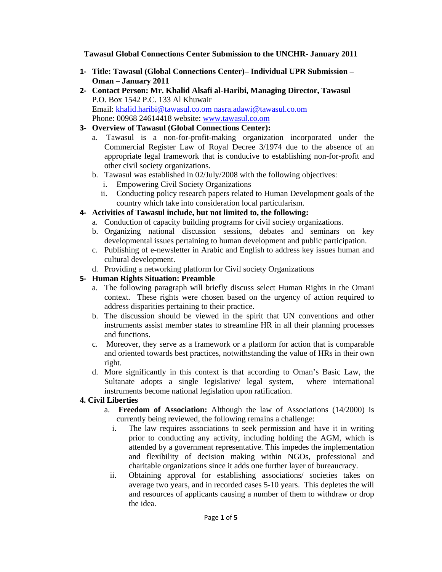**Tawasul Global Connections Center Submission to the UNCHR- January 2011** 

- **1‐ Title: Tawasul (Global Connections Center)– Individual UPR Submission Oman – January 2011**
- **2‐ Contact Person: Mr. Khalid Alsafi al-Haribi, Managing Director, Tawasul**  P.O. Box 1542 P.C. 133 Al Khuwair Email: khalid.haribi@tawasul.co.om nasra.adawi@tawasul.co.om Phone: 00968 24614418 website: www.tawasul.co.om
- **3‐ Overview of Tawasul (Global Connections Center):** 
	- a. Tawasul is a non-for-profit-making organization incorporated under the Commercial Register Law of Royal Decree 3/1974 due to the absence of an appropriate legal framework that is conducive to establishing non-for-profit and other civil society organizations.
	- b. Tawasul was established in 02/July/2008 with the following objectives:
		- i. Empowering Civil Society Organizations
		- ii. Conducting policy research papers related to Human Development goals of the country which take into consideration local particularism.
- **4‐ Activities of Tawasul include, but not limited to, the following:** 
	- a. Conduction of capacity building programs for civil society organizations.
	- b. Organizing national discussion sessions, debates and seminars on key developmental issues pertaining to human development and public participation.
	- c. Publishing of e-newsletter in Arabic and English to address key issues human and cultural development.
	- d. Providing a networking platform for Civil society Organizations

### **5‐ Human Rights Situation: Preamble**

- a. The following paragraph will briefly discuss select Human Rights in the Omani context. These rights were chosen based on the urgency of action required to address disparities pertaining to their practice.
- b. The discussion should be viewed in the spirit that UN conventions and other instruments assist member states to streamline HR in all their planning processes and functions.
- c. Moreover, they serve as a framework or a platform for action that is comparable and oriented towards best practices, notwithstanding the value of HRs in their own right.
- d. More significantly in this context is that according to Oman's Basic Law, the Sultanate adopts a single legislative/ legal system, where international instruments become national legislation upon ratification.

### **4. Civil Liberties**

- a. **Freedom of Association:** Although the law of Associations (14/2000) is currently being reviewed, the following remains a challenge:
	- i. The law requires associations to seek permission and have it in writing prior to conducting any activity, including holding the AGM, which is attended by a government representative. This impedes the implementation and flexibility of decision making within NGOs, professional and charitable organizations since it adds one further layer of bureaucracy.
	- ii. Obtaining approval for establishing associations/ societies takes on average two years, and in recorded cases 5-10 years. This depletes the will and resources of applicants causing a number of them to withdraw or drop the idea.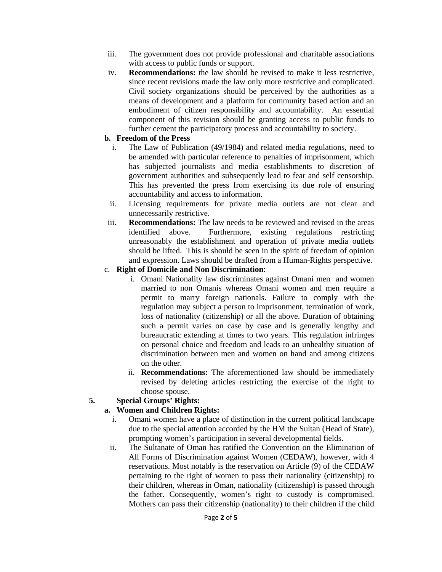- iii. The government does not provide professional and charitable associations with access to public funds or support.
- iv. **Recommendations:** the law should be revised to make it less restrictive, since recent revisions made the law only more restrictive and complicated. Civil society organizations should be perceived by the authorities as a means of development and a platform for community based action and an embodiment of citizen responsibility and accountability. An essential component of this revision should be granting access to public funds to further cement the participatory process and accountability to society.

#### **b. Freedom of the Press**

- i. The Law of Publication (49/1984) and related media regulations, need to be amended with particular reference to penalties of imprisonment, which has subjected journalists and media establishments to discretion of government authorities and subsequently lead to fear and self censorship. This has prevented the press from exercising its due role of ensuring accountability and access to information.
- ii. Licensing requirements for private media outlets are not clear and unnecessarily restrictive.
- iii. **Recommendations:** The law needs to be reviewed and revised in the areas identified above. Furthermore, existing regulations restricting unreasonably the establishment and operation of private media outlets should be lifted. This is should be seen in the spirit of freedom of opinion and expression. Laws should be drafted from a Human-Rights perspective.
- c. **Right of Domicile and Non Discrimination**:
	- i. Omani Nationality law discriminates against Omani men and women married to non Omanis whereas Omani women and men require a permit to marry foreign nationals. Failure to comply with the regulation may subject a person to imprisonment, termination of work, loss of nationality (citizenship) or all the above. Duration of obtaining such a permit varies on case by case and is generally lengthy and bureaucratic extending at times to two years. This regulation infringes on personal choice and freedom and leads to an unhealthy situation of discrimination between men and women on hand and among citizens on the other.
	- ii. **Recommendations:** The aforementioned law should be immediately revised by deleting articles restricting the exercise of the right to choose spouse.

#### **5. Special Groups' Rights:**

#### **a. Women and Children Rights:**

- i. Omani women have a place of distinction in the current political landscape due to the special attention accorded by the HM the Sultan (Head of State), prompting women's participation in several developmental fields.
- ii. The Sultanate of Oman has ratified the Convention on the Elimination of All Forms of Discrimination against Women (CEDAW), however, with 4 reservations. Most notably is the reservation on Article (9) of the CEDAW pertaining to the right of women to pass their nationality (citizenship) to their children, whereas in Oman, nationality (citizenship) is passed through the father. Consequently, women's right to custody is compromised. Mothers can pass their citizenship (nationality) to their children if the child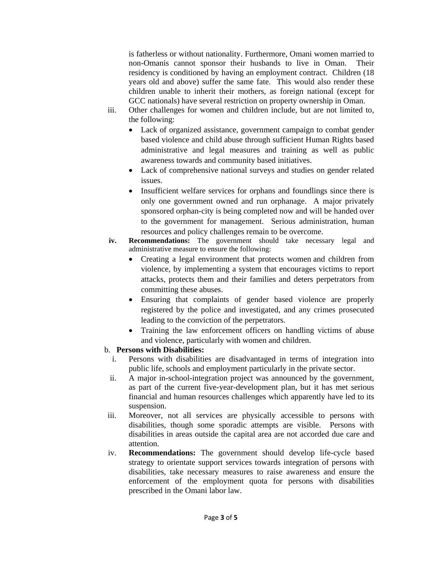is fatherless or without nationality. Furthermore, Omani women married to non-Omanis cannot sponsor their husbands to live in Oman. Their residency is conditioned by having an employment contract. Children (18 years old and above) suffer the same fate. This would also render these children unable to inherit their mothers, as foreign national (except for GCC nationals) have several restriction on property ownership in Oman.

- iii. Other challenges for women and children include, but are not limited to, the following:
	- Lack of organized assistance, government campaign to combat gender based violence and child abuse through sufficient Human Rights based administrative and legal measures and training as well as public awareness towards and community based initiatives.
	- Lack of comprehensive national surveys and studies on gender related issues.
	- Insufficient welfare services for orphans and foundlings since there is only one government owned and run orphanage. A major privately sponsored orphan-city is being completed now and will be handed over to the government for management. Serious administration, human resources and policy challenges remain to be overcome.
- **iv. Recommendations:** The government should take necessary legal and administrative measure to ensure the following:
	- Creating a legal environment that protects women and children from violence, by implementing a system that encourages victims to report attacks, protects them and their families and deters perpetrators from committing these abuses.
	- Ensuring that complaints of gender based violence are properly registered by the police and investigated, and any crimes prosecuted leading to the conviction of the perpetrators.
	- Training the law enforcement officers on handling victims of abuse and violence, particularly with women and children.

### b. **Persons with Disabilities:**

- i. Persons with disabilities are disadvantaged in terms of integration into public life, schools and employment particularly in the private sector.
- ii. A major in-school-integration project was announced by the government, as part of the current five-year-development plan, but it has met serious financial and human resources challenges which apparently have led to its suspension.
- iii. Moreover, not all services are physically accessible to persons with disabilities, though some sporadic attempts are visible. Persons with disabilities in areas outside the capital area are not accorded due care and attention.
- iv. **Recommendations:** The government should develop life-cycle based strategy to orientate support services towards integration of persons with disabilities, take necessary measures to raise awareness and ensure the enforcement of the employment quota for persons with disabilities prescribed in the Omani labor law.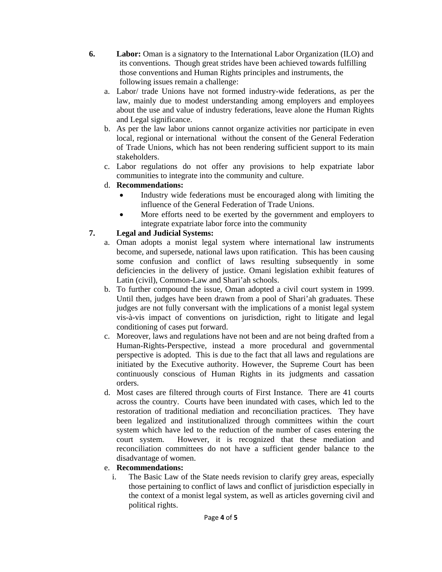- **6. Labor:** Oman is a signatory to the International Labor Organization (ILO) and its conventions. Though great strides have been achieved towards fulfilling those conventions and Human Rights principles and instruments, the following issues remain a challenge:
	- a. Labor/ trade Unions have not formed industry-wide federations, as per the law, mainly due to modest understanding among employers and employees about the use and value of industry federations, leave alone the Human Rights and Legal significance.
	- b. As per the law labor unions cannot organize activities nor participate in even local, regional or international without the consent of the General Federation of Trade Unions, which has not been rendering sufficient support to its main stakeholders.
	- c. Labor regulations do not offer any provisions to help expatriate labor communities to integrate into the community and culture.
	- d. **Recommendations:**
		- Industry wide federations must be encouraged along with limiting the influence of the General Federation of Trade Unions.
		- More efforts need to be exerted by the government and employers to integrate expatriate labor force into the community

# **7. Legal and Judicial Systems:**

- a. Oman adopts a monist legal system where international law instruments become, and supersede, national laws upon ratification. This has been causing some confusion and conflict of laws resulting subsequently in some deficiencies in the delivery of justice. Omani legislation exhibit features of Latin (civil), Common-Law and Shari'ah schools.
- b. To further compound the issue, Oman adopted a civil court system in 1999. Until then, judges have been drawn from a pool of Shari'ah graduates. These judges are not fully conversant with the implications of a monist legal system vis-à-vis impact of conventions on jurisdiction, right to litigate and legal conditioning of cases put forward.
- c. Moreover, laws and regulations have not been and are not being drafted from a Human-Rights-Perspective, instead a more procedural and governmental perspective is adopted. This is due to the fact that all laws and regulations are initiated by the Executive authority. However, the Supreme Court has been continuously conscious of Human Rights in its judgments and cassation orders.
- d. Most cases are filtered through courts of First Instance. There are 41 courts across the country. Courts have been inundated with cases, which led to the restoration of traditional mediation and reconciliation practices. They have been legalized and institutionalized through committees within the court system which have led to the reduction of the number of cases entering the court system. However, it is recognized that these mediation and reconciliation committees do not have a sufficient gender balance to the disadvantage of women.

# e. **Recommendations:**

i. The Basic Law of the State needs revision to clarify grey areas, especially those pertaining to conflict of laws and conflict of jurisdiction especially in the context of a monist legal system, as well as articles governing civil and political rights.